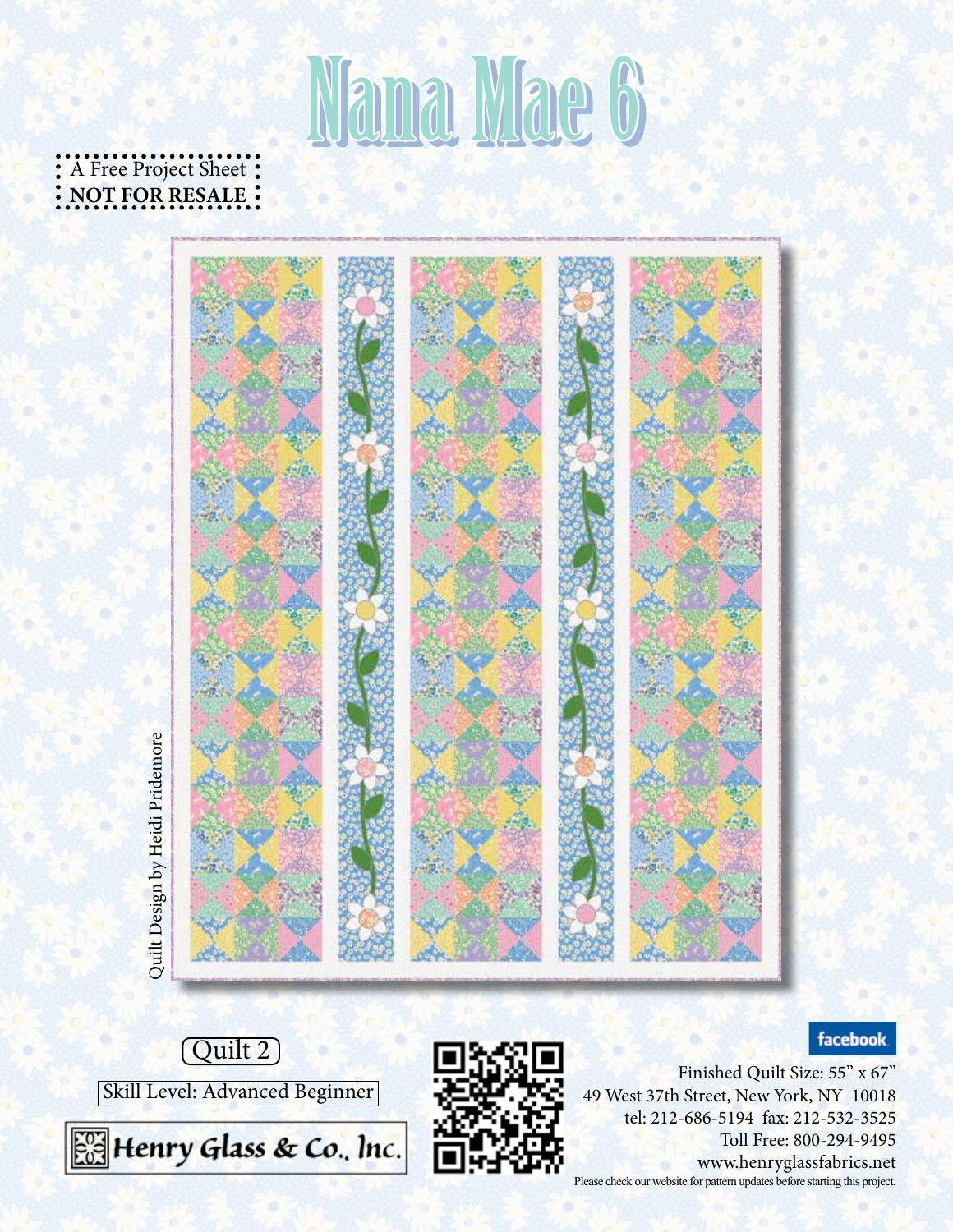# Nama Mae 6

A Free Project Sheet: **NOT FOR RESALE**



### facebook.





Finished Quilt Size: 55" x 67" 49 West 37th Street, New York, NY 10018 tel: 212-686-5194 fax: 212-532-3525 Toll Free: 800-294-9495 www.henryglassfabrics.net Please check our website for pattern updates before starting this project.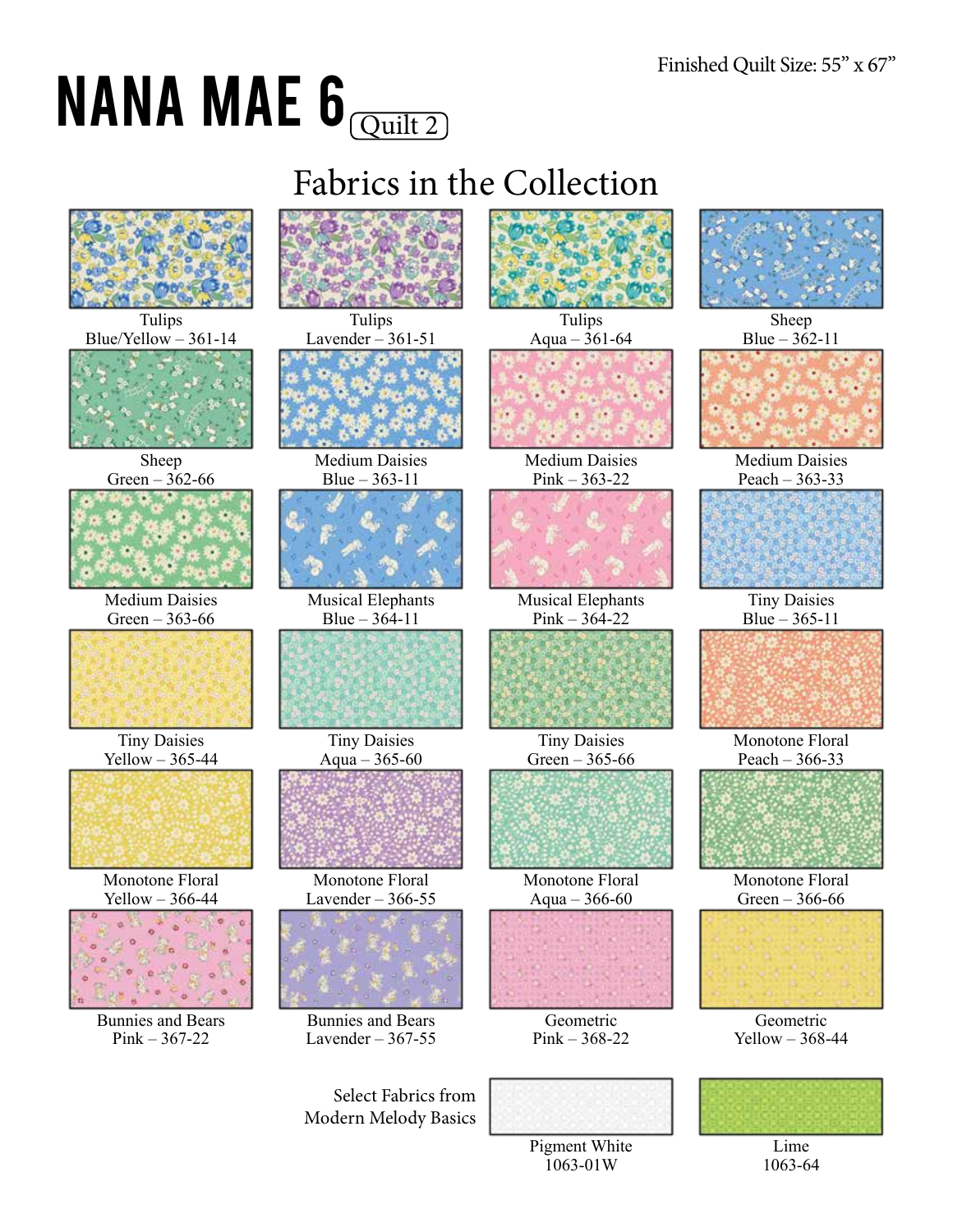## NANA MAE  $\mathbf{6}_{\overline{\mathsf{Quilt 2}}}$

Fabrics in the Collection







Medium Daisies Pink – 363-22



Musical Elephants  $Pink - 364 - 22$ 



Tiny Daisies Green – 365-66



Monotone Floral Aqua – 366-60



Geometric Pink – 368-22









Medium Daisies Peach – 363-33



Tiny Daisies Blue – 365-11



Monotone Floral Peach – 366-33



Monotone Floral Green – 366-66



Geometric Yellow – 368-44



1063-64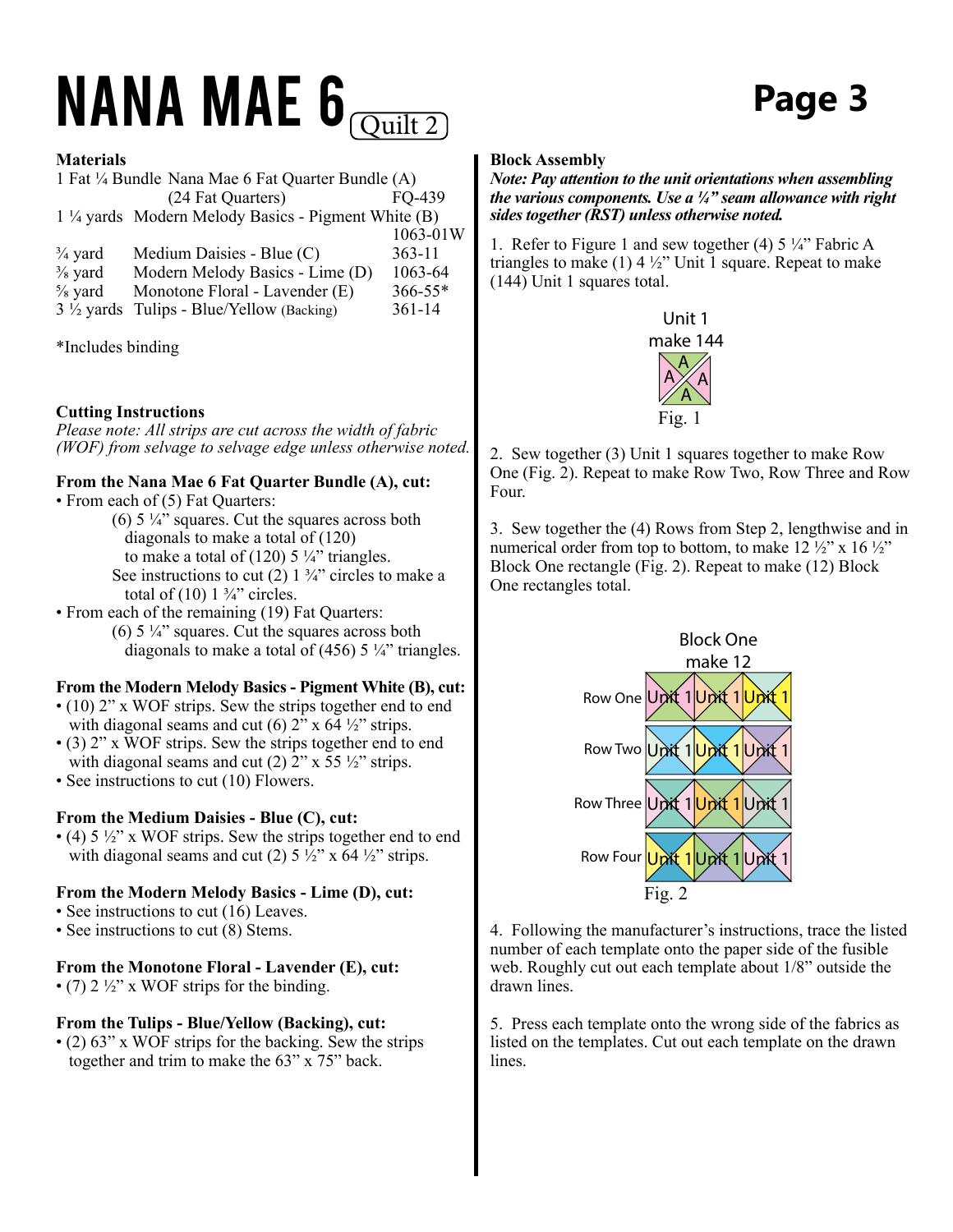### $NANA$   $MAE$   $\theta$   $\overline{O_{\text{uilt 2}}}$   $Page$  3

#### **Materials**

1 Fat ¼ Bundle Nana Mae 6 Fat Quarter Bundle (A) (24 Fat Quarters) FQ-439 1 ¼ yards Modern Melody Basics - Pigment White (B) 1063-01W  $\frac{3}{4}$  yard Medium Daisies - Blue (C) 363-11

 $\frac{3}{8}$  yard Modern Melody Basics - Lime (D) 1063-64<br> $\frac{5}{8}$  yard Monotone Floral - Lavender (E) 366-55\* Monotone Floral - Lavender (E)  $3\frac{1}{2}$  yards Tulips - Blue/Yellow (Backing) 361-14

\*Includes binding

### **Cutting Instructions**

*Please note: All strips are cut across the width of fabric (WOF) from selvage to selvage edge unless otherwise noted.*

#### **From the Nana Mae 6 Fat Quarter Bundle (A), cut:**

- From each of (5) Fat Quarters:
	- (6)  $5\frac{1}{4}$ " squares. Cut the squares across both diagonals to make a total of (120) to make a total of  $(120)$  5 ¼" triangles. See instructions to cut  $(2)$  1  $\frac{3}{4}$ " circles to make a total of  $(10)$  1  $\frac{3}{4}$ " circles.
- From each of the remaining (19) Fat Quarters:  $(6)$  5  $\frac{1}{4}$ " squares. Cut the squares across both diagonals to make a total of (456) 5  $\frac{1}{4}$ " triangles.

### **From the Modern Melody Basics - Pigment White (B), cut:**

- (10) 2" x WOF strips. Sew the strips together end to end with diagonal seams and cut (6)  $2^{\nu}$  x 64  $\frac{1}{2}$  strips.
- (3) 2" x WOF strips. Sew the strips together end to end with diagonal seams and cut (2)  $2$ " x 55  $\frac{1}{2}$ " strips.
- See instructions to cut (10) Flowers.

### **From the Medium Daisies - Blue (C), cut:**

• (4)  $5\frac{1}{2}$ " x WOF strips. Sew the strips together end to end with diagonal seams and cut (2)  $5\frac{1}{2}$ " x 64  $\frac{1}{2}$ " strips.

### **From the Modern Melody Basics - Lime (D), cut:**

- See instructions to cut (16) Leaves.
- See instructions to cut (8) Stems.

### **From the Monotone Floral - Lavender (E), cut:**

• (7)  $2\frac{1}{2}$ " x WOF strips for the binding.

#### **From the Tulips - Blue/Yellow (Backing), cut:**

• (2) 63" x WOF strips for the backing. Sew the strips together and trim to make the 63" x 75" back.

#### **Block Assembly**

#### *Note: Pay attention to the unit orientations when assembling the various components. Use a ¼" seam allowance with right sides together (RST) unless otherwise noted.*

1. Refer to Figure 1 and sew together (4)  $5\frac{1}{4}$ " Fabric A triangles to make  $(1)$  4 ½" Unit 1 square. Repeat to make (144) Unit 1 squares total.



2. Sew together (3) Unit 1 squares together to make Row One (Fig. 2). Repeat to make Row Two, Row Three and Row Four.

3. Sew together the (4) Rows from Step 2, lengthwise and in numerical order from top to bottom, to make  $12\frac{1}{2}$ " x  $16\frac{1}{2}$ " Block One rectangle (Fig. 2). Repeat to make (12) Block One rectangles total.



4. Following the manufacturer's instructions, trace the listed number of each template onto the paper side of the fusible web. Roughly cut out each template about 1/8" outside the drawn lines.

5. Press each template onto the wrong side of the fabrics as listed on the templates. Cut out each template on the drawn lines.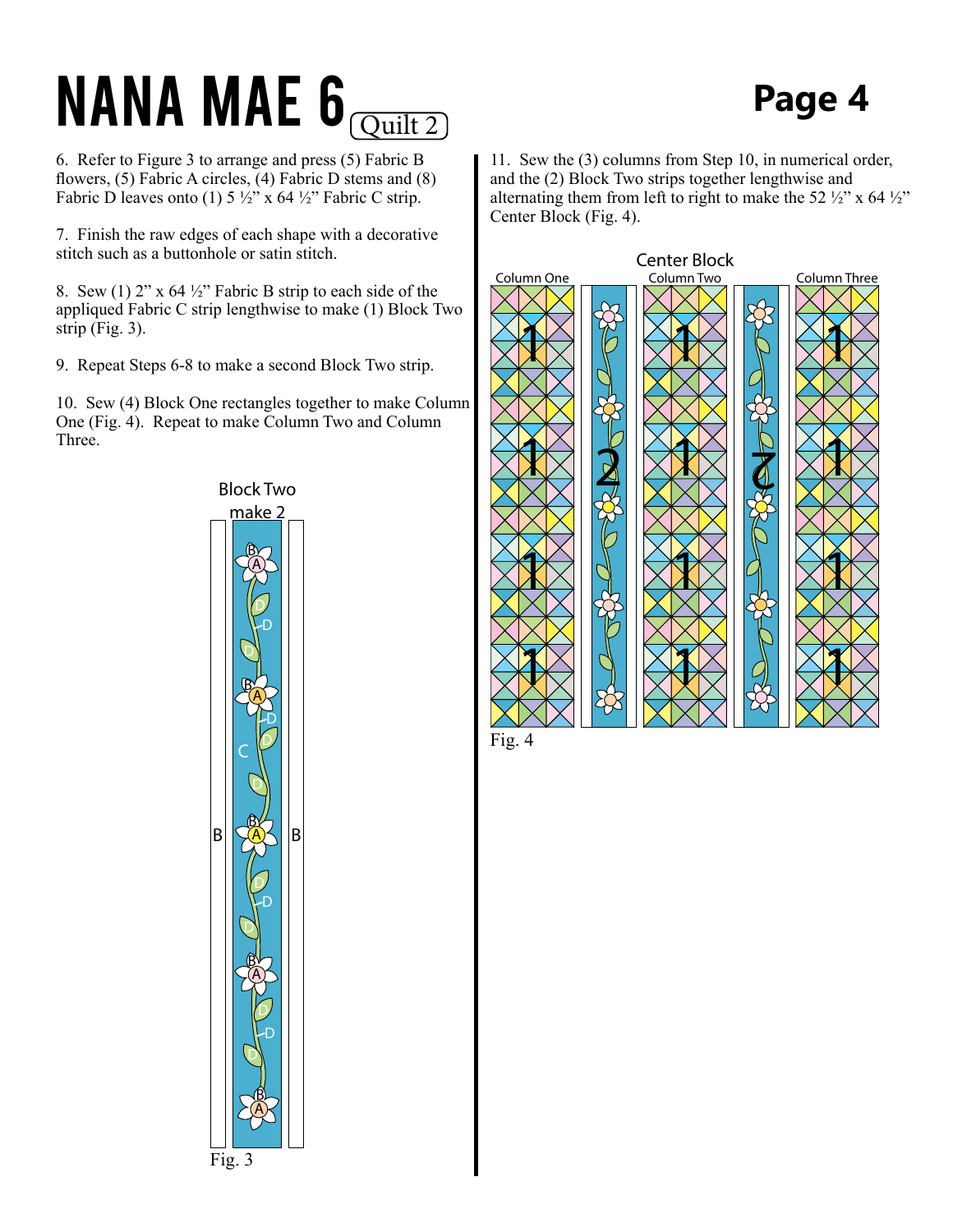## $NANA$   $MAE$   $\theta$   $\overline{Q^{\text{uilt 2}}}$   $Page$  4

6. Refer to Figure 3 to arrange and press (5) Fabric B flowers, (5) Fabric A circles, (4) Fabric D stems and (8) Fabric D leaves onto (1)  $5\frac{1}{2}$ " x 64 $\frac{1}{2}$ " Fabric C strip.

7. Finish the raw edges of each shape with a decorative stitch such as a buttonhole or satin stitch.

8. Sew (1)  $2''$  x 64  $\frac{1}{2}$  Fabric B strip to each side of the appliqued Fabric C strip lengthwise to make (1) Block Two strip (Fig. 3).

9. Repeat Steps 6-8 to make a second Block Two strip.

10. Sew (4) Block One rectangles together to make Column One (Fig. 4). Repeat to make Column Two and Column Three.



11. Sew the (3) columns from Step 10, in numerical order, and the (2) Block Two strips together lengthwise and alternating them from left to right to make the 52  $\frac{1}{2}$ " x 64  $\frac{1}{2}$ " Center Block (Fig. 4).



Fig. 4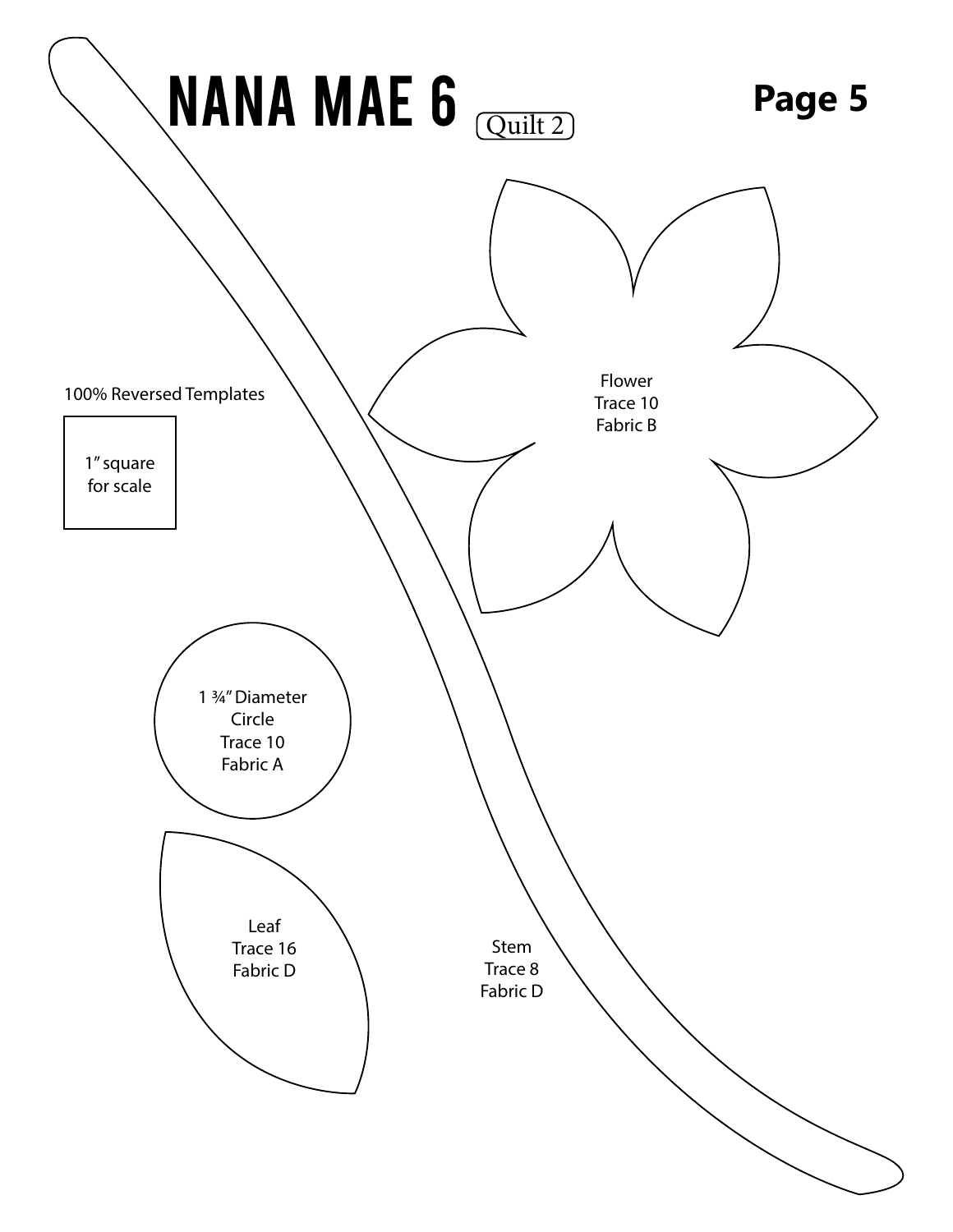